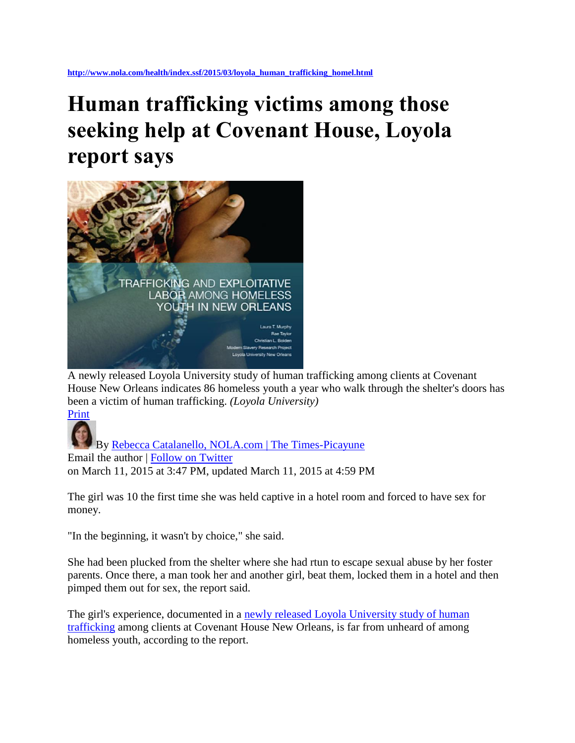## **Human trafficking victims among those seeking help at Covenant House, Loyola report says**



A newly released Loyola University study of human trafficking among clients at Covenant House New Orleans indicates 86 homeless youth a year who walk through the shelter's doors has been a victim of human trafficking. *(Loyola University)*

[Print](http://blog.nola.com/health_impact/print.html?entry=/2015/03/loyola_human_trafficking_homel.html)

By [Rebecca Catalanello, NOLA.com | The Times-Picayune](http://connect.nola.com/staff/rcatalanello/posts.html)  Email the author | [Follow on Twitter](https://twitter.com/RCatNola) on March 11, 2015 at 3:47 PM, updated March 11, 2015 at 4:59 PM

The girl was 10 the first time she was held captive in a hotel room and forced to have sex for money.

"In the beginning, it wasn't by choice," she said.

She had been plucked from the shelter where she had rtun to escape sexual abuse by her foster parents. Once there, a man took her and another girl, beat them, locked them in a hotel and then pimped them out for sex, the report said.

The girl's experience, documented in a newly released Loyola University study of human [trafficking](http://www.modernslaveryresearch.org/#%21trafficking-among-homeless-youth-report/c1ut0) among clients at Covenant House New Orleans, is far from unheard of among homeless youth, according to the report.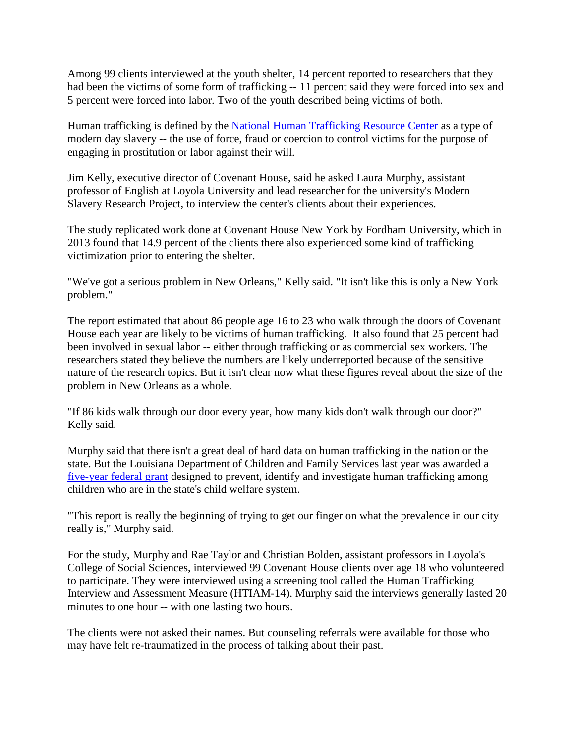Among 99 clients interviewed at the youth shelter, 14 percent reported to researchers that they had been the victims of some form of trafficking -- 11 percent said they were forced into sex and 5 percent were forced into labor. Two of the youth described being victims of both.

Human trafficking is defined by the [National Human Trafficking Resource Center](http://www.traffickingresourcecenter.org/type-trafficking/human-trafficking) as a type of modern day slavery -- the use of force, fraud or coercion to control victims for the purpose of engaging in prostitution or labor against their will.

Jim Kelly, executive director of Covenant House, said he asked Laura Murphy, assistant professor of English at Loyola University and lead researcher for the university's Modern Slavery Research Project, to interview the center's clients about their experiences.

The study replicated work done at Covenant House New York by Fordham University, which in 2013 found that 14.9 percent of the clients there also experienced some kind of trafficking victimization prior to entering the shelter.

"We've got a serious problem in New Orleans," Kelly said. "It isn't like this is only a New York problem."

The report estimated that about 86 people age 16 to 23 who walk through the doors of Covenant House each year are likely to be victims of human trafficking. It also found that 25 percent had been involved in sexual labor -- either through trafficking or as commercial sex workers. The researchers stated they believe the numbers are likely underreported because of the sensitive nature of the research topics. But it isn't clear now what these figures reveal about the size of the problem in New Orleans as a whole.

"If 86 kids walk through our door every year, how many kids don't walk through our door?" Kelly said.

Murphy said that there isn't a great deal of hard data on human trafficking in the nation or the state. But the Louisiana Department of Children and Family Services last year was awarded a [five-year federal grant](http://www.dcfs.louisiana.gov/index.cfm?md=newsroom&tmp=detail&articleID=654) designed to prevent, identify and investigate human trafficking among children who are in the state's child welfare system.

"This report is really the beginning of trying to get our finger on what the prevalence in our city really is," Murphy said.

For the study, Murphy and Rae Taylor and Christian Bolden, assistant professors in Loyola's College of Social Sciences, interviewed 99 Covenant House clients over age 18 who volunteered to participate. They were interviewed using a screening tool called the Human Trafficking Interview and Assessment Measure (HTIAM-14). Murphy said the interviews generally lasted 20 minutes to one hour -- with one lasting two hours.

The clients were not asked their names. But counseling referrals were available for those who may have felt re-traumatized in the process of talking about their past.